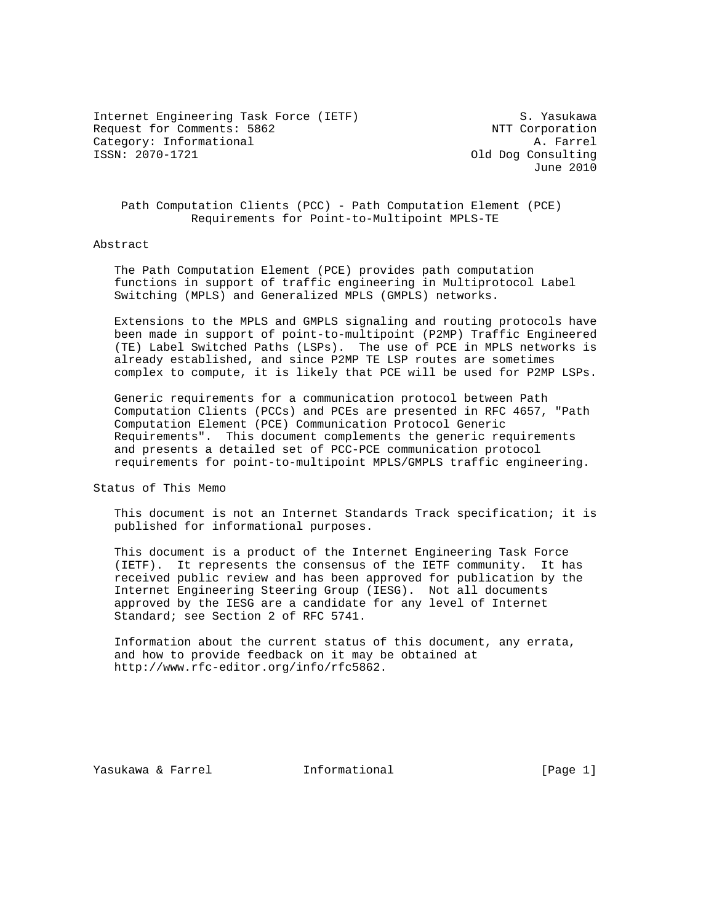Internet Engineering Task Force (IETF) S. Yasukawa Request for Comments: 5862 NTT Corporation Category: Informational a. Farrel A. Farrel<br>ISSN: 2070-1721 (and all consulting of the Consulting of Consulting

Old Dog Consulting June 2010

 Path Computation Clients (PCC) - Path Computation Element (PCE) Requirements for Point-to-Multipoint MPLS-TE

## Abstract

 The Path Computation Element (PCE) provides path computation functions in support of traffic engineering in Multiprotocol Label Switching (MPLS) and Generalized MPLS (GMPLS) networks.

 Extensions to the MPLS and GMPLS signaling and routing protocols have been made in support of point-to-multipoint (P2MP) Traffic Engineered (TE) Label Switched Paths (LSPs). The use of PCE in MPLS networks is already established, and since P2MP TE LSP routes are sometimes complex to compute, it is likely that PCE will be used for P2MP LSPs.

 Generic requirements for a communication protocol between Path Computation Clients (PCCs) and PCEs are presented in RFC 4657, "Path Computation Element (PCE) Communication Protocol Generic Requirements". This document complements the generic requirements and presents a detailed set of PCC-PCE communication protocol requirements for point-to-multipoint MPLS/GMPLS traffic engineering.

Status of This Memo

 This document is not an Internet Standards Track specification; it is published for informational purposes.

 This document is a product of the Internet Engineering Task Force (IETF). It represents the consensus of the IETF community. It has received public review and has been approved for publication by the Internet Engineering Steering Group (IESG). Not all documents approved by the IESG are a candidate for any level of Internet Standard; see Section 2 of RFC 5741.

 Information about the current status of this document, any errata, and how to provide feedback on it may be obtained at http://www.rfc-editor.org/info/rfc5862.

Yasukawa & Farrel Informational [Page 1]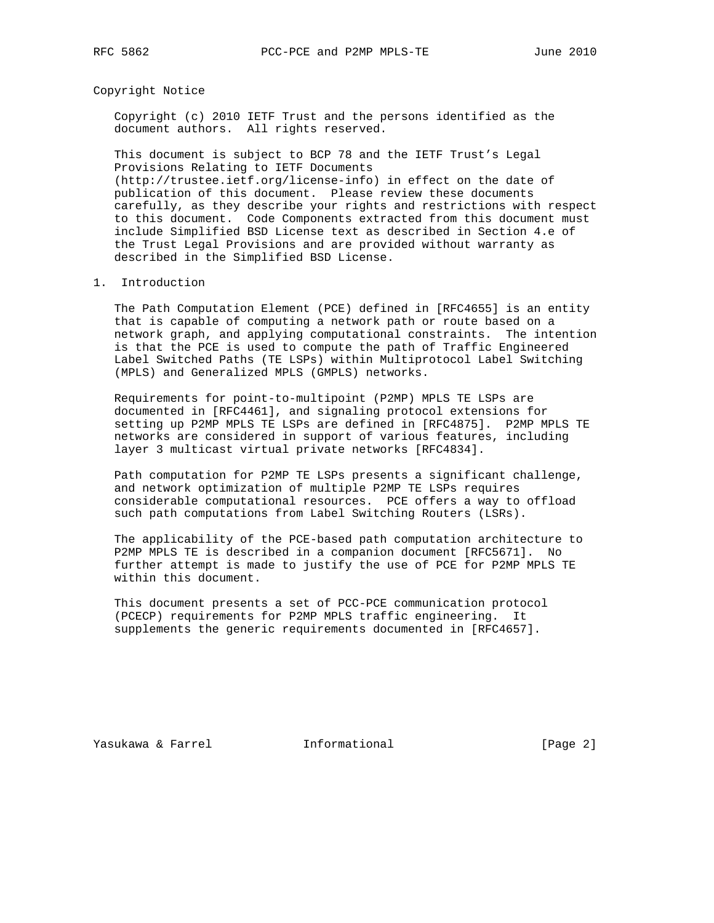### Copyright Notice

 Copyright (c) 2010 IETF Trust and the persons identified as the document authors. All rights reserved.

 This document is subject to BCP 78 and the IETF Trust's Legal Provisions Relating to IETF Documents (http://trustee.ietf.org/license-info) in effect on the date of publication of this document. Please review these documents carefully, as they describe your rights and restrictions with respect to this document. Code Components extracted from this document must include Simplified BSD License text as described in Section 4.e of the Trust Legal Provisions and are provided without warranty as described in the Simplified BSD License.

### 1. Introduction

 The Path Computation Element (PCE) defined in [RFC4655] is an entity that is capable of computing a network path or route based on a network graph, and applying computational constraints. The intention is that the PCE is used to compute the path of Traffic Engineered Label Switched Paths (TE LSPs) within Multiprotocol Label Switching (MPLS) and Generalized MPLS (GMPLS) networks.

 Requirements for point-to-multipoint (P2MP) MPLS TE LSPs are documented in [RFC4461], and signaling protocol extensions for setting up P2MP MPLS TE LSPs are defined in [RFC4875]. P2MP MPLS TE networks are considered in support of various features, including layer 3 multicast virtual private networks [RFC4834].

 Path computation for P2MP TE LSPs presents a significant challenge, and network optimization of multiple P2MP TE LSPs requires considerable computational resources. PCE offers a way to offload such path computations from Label Switching Routers (LSRs).

 The applicability of the PCE-based path computation architecture to P2MP MPLS TE is described in a companion document [RFC5671]. No further attempt is made to justify the use of PCE for P2MP MPLS TE within this document.

 This document presents a set of PCC-PCE communication protocol (PCECP) requirements for P2MP MPLS traffic engineering. It supplements the generic requirements documented in [RFC4657].

Yasukawa & Farrel **Informational** [Page 2]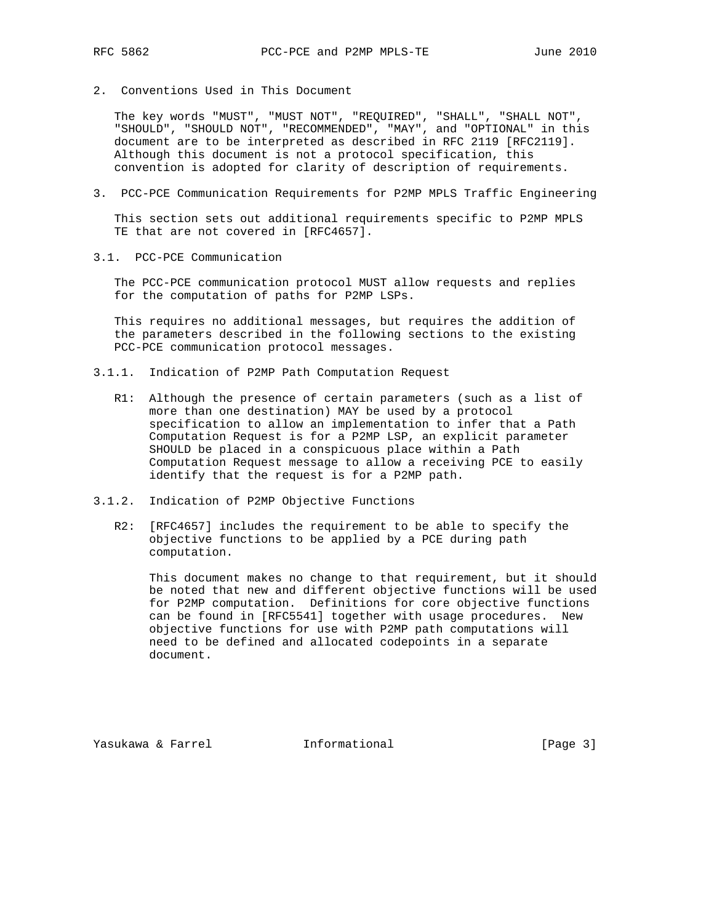- 
- 2. Conventions Used in This Document

 The key words "MUST", "MUST NOT", "REQUIRED", "SHALL", "SHALL NOT", "SHOULD", "SHOULD NOT", "RECOMMENDED", "MAY", and "OPTIONAL" in this document are to be interpreted as described in RFC 2119 [RFC2119]. Although this document is not a protocol specification, this convention is adopted for clarity of description of requirements.

3. PCC-PCE Communication Requirements for P2MP MPLS Traffic Engineering

 This section sets out additional requirements specific to P2MP MPLS TE that are not covered in [RFC4657].

3.1. PCC-PCE Communication

 The PCC-PCE communication protocol MUST allow requests and replies for the computation of paths for P2MP LSPs.

 This requires no additional messages, but requires the addition of the parameters described in the following sections to the existing PCC-PCE communication protocol messages.

- 3.1.1. Indication of P2MP Path Computation Request
	- R1: Although the presence of certain parameters (such as a list of more than one destination) MAY be used by a protocol specification to allow an implementation to infer that a Path Computation Request is for a P2MP LSP, an explicit parameter SHOULD be placed in a conspicuous place within a Path Computation Request message to allow a receiving PCE to easily identify that the request is for a P2MP path.
- 3.1.2. Indication of P2MP Objective Functions
	- R2: [RFC4657] includes the requirement to be able to specify the objective functions to be applied by a PCE during path computation.

 This document makes no change to that requirement, but it should be noted that new and different objective functions will be used for P2MP computation. Definitions for core objective functions can be found in [RFC5541] together with usage procedures. New objective functions for use with P2MP path computations will need to be defined and allocated codepoints in a separate document.

Yasukawa & Farrel **Informational** 10 (Page 3)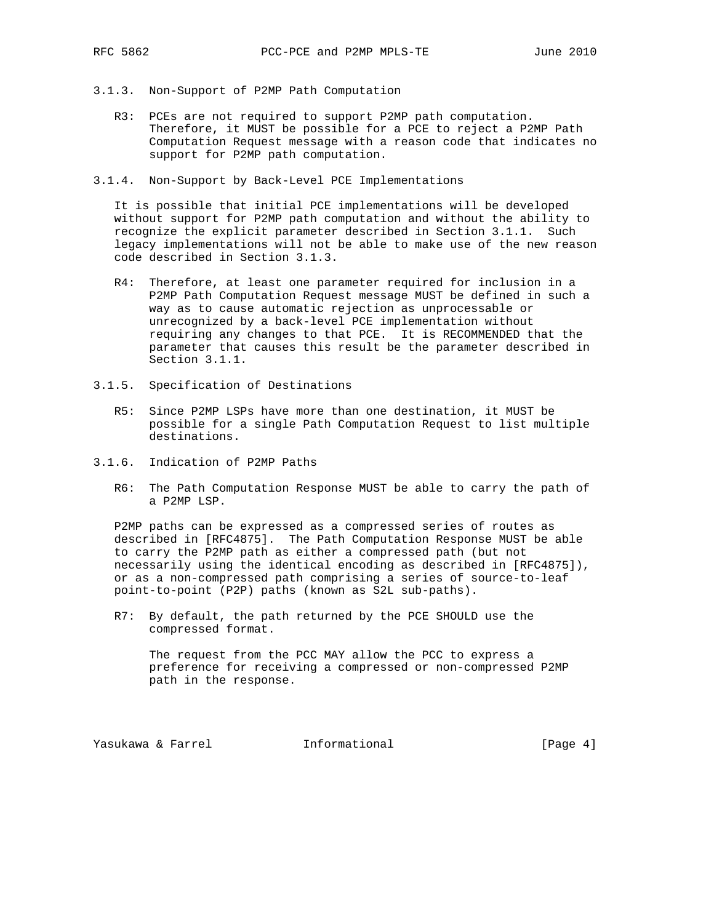- 
- 3.1.3. Non-Support of P2MP Path Computation
	- R3: PCEs are not required to support P2MP path computation. Therefore, it MUST be possible for a PCE to reject a P2MP Path Computation Request message with a reason code that indicates no support for P2MP path computation.
- 3.1.4. Non-Support by Back-Level PCE Implementations

 It is possible that initial PCE implementations will be developed without support for P2MP path computation and without the ability to recognize the explicit parameter described in Section 3.1.1. Such legacy implementations will not be able to make use of the new reason code described in Section 3.1.3.

- R4: Therefore, at least one parameter required for inclusion in a P2MP Path Computation Request message MUST be defined in such a way as to cause automatic rejection as unprocessable or unrecognized by a back-level PCE implementation without requiring any changes to that PCE. It is RECOMMENDED that the parameter that causes this result be the parameter described in Section 3.1.1.
- 3.1.5. Specification of Destinations
	- R5: Since P2MP LSPs have more than one destination, it MUST be possible for a single Path Computation Request to list multiple destinations.
- 3.1.6. Indication of P2MP Paths
	- R6: The Path Computation Response MUST be able to carry the path of a P2MP LSP.

 P2MP paths can be expressed as a compressed series of routes as described in [RFC4875]. The Path Computation Response MUST be able to carry the P2MP path as either a compressed path (but not necessarily using the identical encoding as described in [RFC4875]), or as a non-compressed path comprising a series of source-to-leaf point-to-point (P2P) paths (known as S2L sub-paths).

 R7: By default, the path returned by the PCE SHOULD use the compressed format.

 The request from the PCC MAY allow the PCC to express a preference for receiving a compressed or non-compressed P2MP path in the response.

Yasukawa & Farrel **Informational** 111 [Page 4]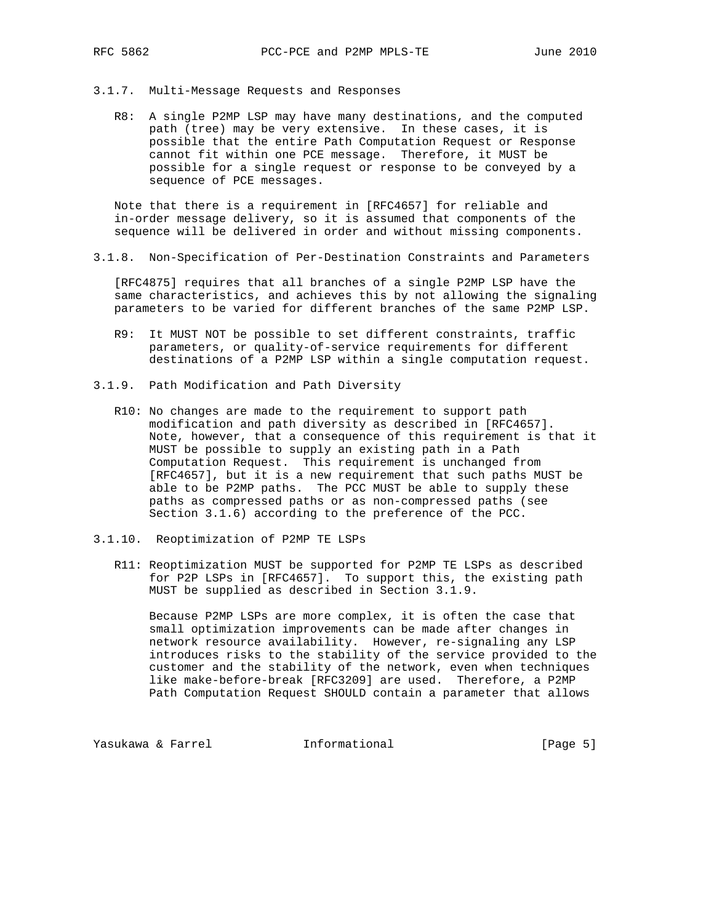- 3.1.7. Multi-Message Requests and Responses
	- R8: A single P2MP LSP may have many destinations, and the computed path (tree) may be very extensive. In these cases, it is possible that the entire Path Computation Request or Response cannot fit within one PCE message. Therefore, it MUST be possible for a single request or response to be conveyed by a sequence of PCE messages.

 Note that there is a requirement in [RFC4657] for reliable and in-order message delivery, so it is assumed that components of the sequence will be delivered in order and without missing components.

3.1.8. Non-Specification of Per-Destination Constraints and Parameters

 [RFC4875] requires that all branches of a single P2MP LSP have the same characteristics, and achieves this by not allowing the signaling parameters to be varied for different branches of the same P2MP LSP.

- R9: It MUST NOT be possible to set different constraints, traffic parameters, or quality-of-service requirements for different destinations of a P2MP LSP within a single computation request.
- 3.1.9. Path Modification and Path Diversity
	- R10: No changes are made to the requirement to support path modification and path diversity as described in [RFC4657]. Note, however, that a consequence of this requirement is that it MUST be possible to supply an existing path in a Path Computation Request. This requirement is unchanged from [RFC4657], but it is a new requirement that such paths MUST be able to be P2MP paths. The PCC MUST be able to supply these paths as compressed paths or as non-compressed paths (see Section 3.1.6) according to the preference of the PCC.
- 3.1.10. Reoptimization of P2MP TE LSPs
	- R11: Reoptimization MUST be supported for P2MP TE LSPs as described for P2P LSPs in [RFC4657]. To support this, the existing path MUST be supplied as described in Section 3.1.9.

 Because P2MP LSPs are more complex, it is often the case that small optimization improvements can be made after changes in network resource availability. However, re-signaling any LSP introduces risks to the stability of the service provided to the customer and the stability of the network, even when techniques like make-before-break [RFC3209] are used. Therefore, a P2MP Path Computation Request SHOULD contain a parameter that allows

Yasukawa & Farrel **Informational** [Page 5]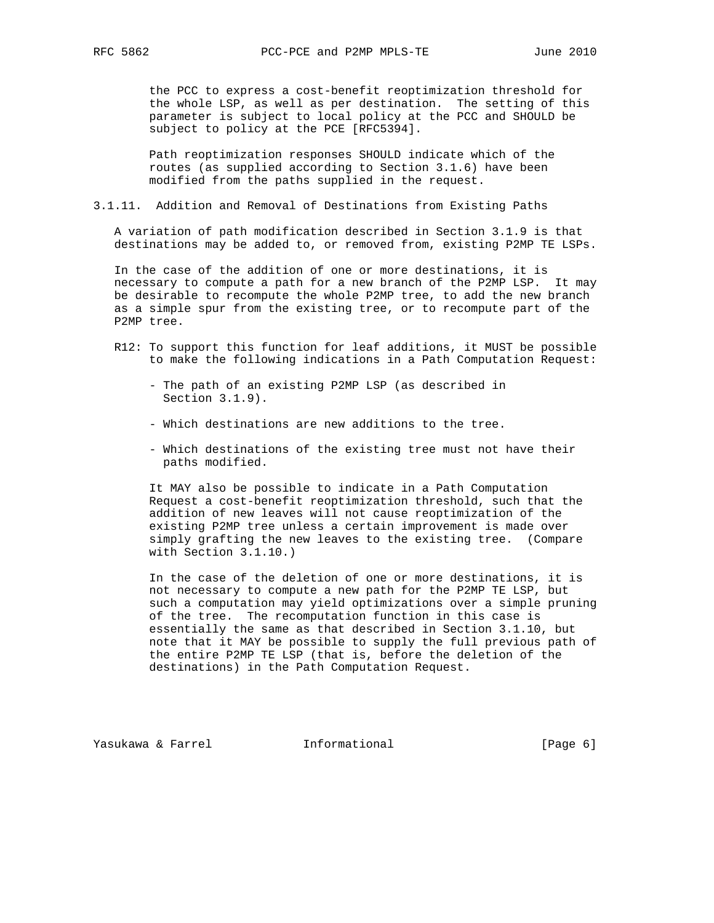the PCC to express a cost-benefit reoptimization threshold for the whole LSP, as well as per destination. The setting of this parameter is subject to local policy at the PCC and SHOULD be subject to policy at the PCE [RFC5394].

 Path reoptimization responses SHOULD indicate which of the routes (as supplied according to Section 3.1.6) have been modified from the paths supplied in the request.

## 3.1.11. Addition and Removal of Destinations from Existing Paths

 A variation of path modification described in Section 3.1.9 is that destinations may be added to, or removed from, existing P2MP TE LSPs.

 In the case of the addition of one or more destinations, it is necessary to compute a path for a new branch of the P2MP LSP. It may be desirable to recompute the whole P2MP tree, to add the new branch as a simple spur from the existing tree, or to recompute part of the P2MP tree.

- R12: To support this function for leaf additions, it MUST be possible to make the following indications in a Path Computation Request:
	- The path of an existing P2MP LSP (as described in Section 3.1.9).
	- Which destinations are new additions to the tree.
	- Which destinations of the existing tree must not have their paths modified.

 It MAY also be possible to indicate in a Path Computation Request a cost-benefit reoptimization threshold, such that the addition of new leaves will not cause reoptimization of the existing P2MP tree unless a certain improvement is made over simply grafting the new leaves to the existing tree. (Compare with Section 3.1.10.)

 In the case of the deletion of one or more destinations, it is not necessary to compute a new path for the P2MP TE LSP, but such a computation may yield optimizations over a simple pruning of the tree. The recomputation function in this case is essentially the same as that described in Section 3.1.10, but note that it MAY be possible to supply the full previous path of the entire P2MP TE LSP (that is, before the deletion of the destinations) in the Path Computation Request.

Yasukawa & Farrel **Informational** [Page 6]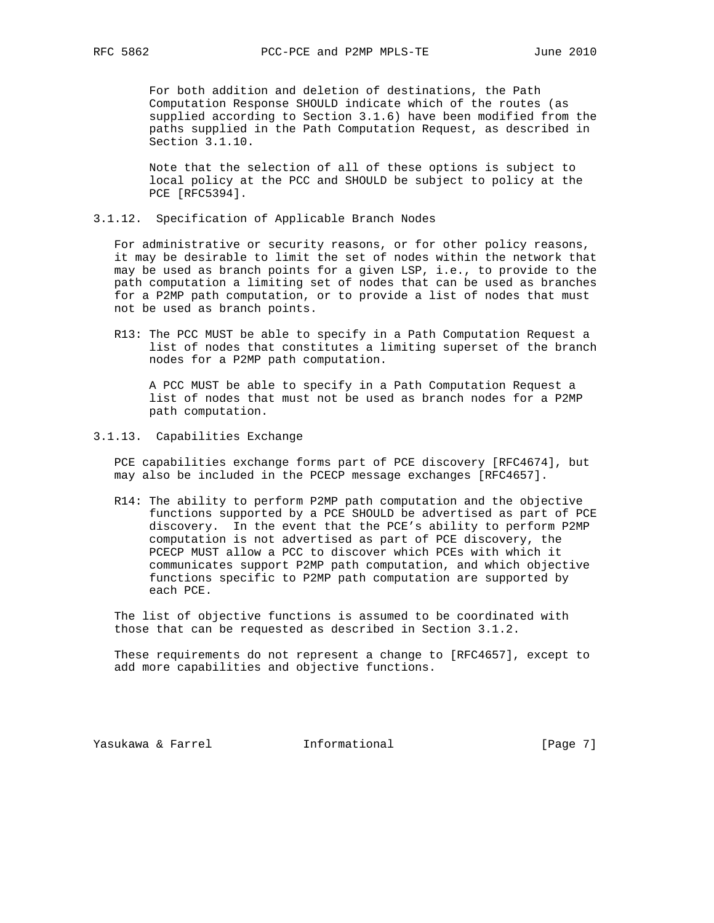For both addition and deletion of destinations, the Path Computation Response SHOULD indicate which of the routes (as supplied according to Section 3.1.6) have been modified from the paths supplied in the Path Computation Request, as described in Section 3.1.10.

 Note that the selection of all of these options is subject to local policy at the PCC and SHOULD be subject to policy at the PCE [RFC5394].

3.1.12. Specification of Applicable Branch Nodes

 For administrative or security reasons, or for other policy reasons, it may be desirable to limit the set of nodes within the network that may be used as branch points for a given LSP, i.e., to provide to the path computation a limiting set of nodes that can be used as branches for a P2MP path computation, or to provide a list of nodes that must not be used as branch points.

 R13: The PCC MUST be able to specify in a Path Computation Request a list of nodes that constitutes a limiting superset of the branch nodes for a P2MP path computation.

 A PCC MUST be able to specify in a Path Computation Request a list of nodes that must not be used as branch nodes for a P2MP path computation.

3.1.13. Capabilities Exchange

 PCE capabilities exchange forms part of PCE discovery [RFC4674], but may also be included in the PCECP message exchanges [RFC4657].

 R14: The ability to perform P2MP path computation and the objective functions supported by a PCE SHOULD be advertised as part of PCE discovery. In the event that the PCE's ability to perform P2MP computation is not advertised as part of PCE discovery, the PCECP MUST allow a PCC to discover which PCEs with which it communicates support P2MP path computation, and which objective functions specific to P2MP path computation are supported by each PCE.

 The list of objective functions is assumed to be coordinated with those that can be requested as described in Section 3.1.2.

 These requirements do not represent a change to [RFC4657], except to add more capabilities and objective functions.

Yasukawa & Farrel **Informational** 111 [Page 7]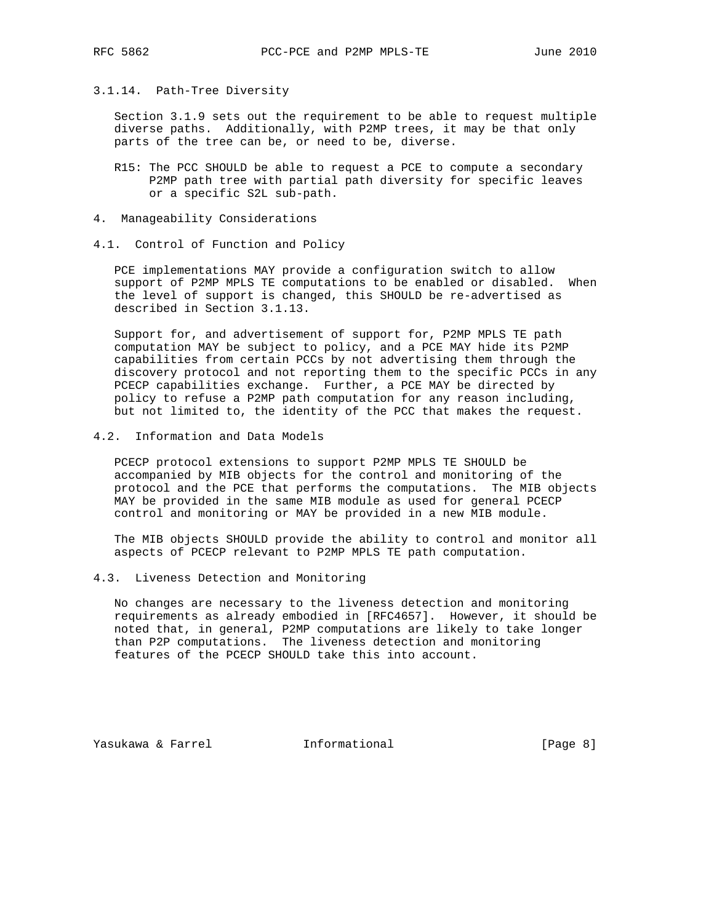# 3.1.14. Path-Tree Diversity

 Section 3.1.9 sets out the requirement to be able to request multiple diverse paths. Additionally, with P2MP trees, it may be that only parts of the tree can be, or need to be, diverse.

- R15: The PCC SHOULD be able to request a PCE to compute a secondary P2MP path tree with partial path diversity for specific leaves or a specific S2L sub-path.
- 4. Manageability Considerations
- 4.1. Control of Function and Policy

 PCE implementations MAY provide a configuration switch to allow support of P2MP MPLS TE computations to be enabled or disabled. When the level of support is changed, this SHOULD be re-advertised as described in Section 3.1.13.

 Support for, and advertisement of support for, P2MP MPLS TE path computation MAY be subject to policy, and a PCE MAY hide its P2MP capabilities from certain PCCs by not advertising them through the discovery protocol and not reporting them to the specific PCCs in any PCECP capabilities exchange. Further, a PCE MAY be directed by policy to refuse a P2MP path computation for any reason including, but not limited to, the identity of the PCC that makes the request.

4.2. Information and Data Models

 PCECP protocol extensions to support P2MP MPLS TE SHOULD be accompanied by MIB objects for the control and monitoring of the protocol and the PCE that performs the computations. The MIB objects MAY be provided in the same MIB module as used for general PCECP control and monitoring or MAY be provided in a new MIB module.

 The MIB objects SHOULD provide the ability to control and monitor all aspects of PCECP relevant to P2MP MPLS TE path computation.

4.3. Liveness Detection and Monitoring

 No changes are necessary to the liveness detection and monitoring requirements as already embodied in [RFC4657]. However, it should be noted that, in general, P2MP computations are likely to take longer than P2P computations. The liveness detection and monitoring features of the PCECP SHOULD take this into account.

Yasukawa & Farrel **Informational** [Page 8]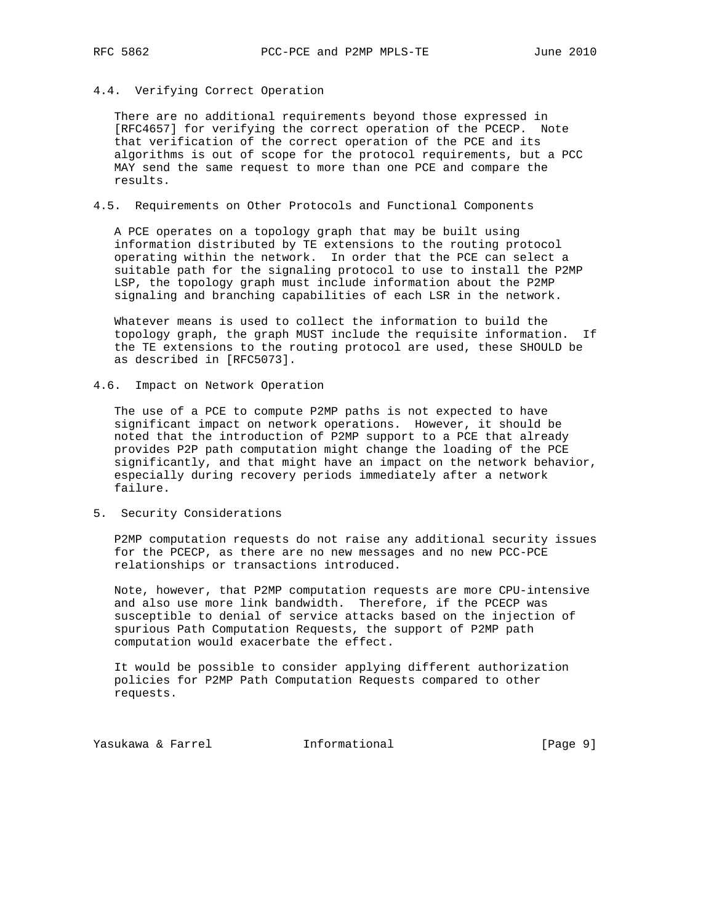# 4.4. Verifying Correct Operation

 There are no additional requirements beyond those expressed in [RFC4657] for verifying the correct operation of the PCECP. Note that verification of the correct operation of the PCE and its algorithms is out of scope for the protocol requirements, but a PCC MAY send the same request to more than one PCE and compare the results.

# 4.5. Requirements on Other Protocols and Functional Components

 A PCE operates on a topology graph that may be built using information distributed by TE extensions to the routing protocol operating within the network. In order that the PCE can select a suitable path for the signaling protocol to use to install the P2MP LSP, the topology graph must include information about the P2MP signaling and branching capabilities of each LSR in the network.

 Whatever means is used to collect the information to build the topology graph, the graph MUST include the requisite information. If the TE extensions to the routing protocol are used, these SHOULD be as described in [RFC5073].

4.6. Impact on Network Operation

 The use of a PCE to compute P2MP paths is not expected to have significant impact on network operations. However, it should be noted that the introduction of P2MP support to a PCE that already provides P2P path computation might change the loading of the PCE significantly, and that might have an impact on the network behavior, especially during recovery periods immediately after a network failure.

### 5. Security Considerations

 P2MP computation requests do not raise any additional security issues for the PCECP, as there are no new messages and no new PCC-PCE relationships or transactions introduced.

 Note, however, that P2MP computation requests are more CPU-intensive and also use more link bandwidth. Therefore, if the PCECP was susceptible to denial of service attacks based on the injection of spurious Path Computation Requests, the support of P2MP path computation would exacerbate the effect.

 It would be possible to consider applying different authorization policies for P2MP Path Computation Requests compared to other requests.

Yasukawa & Farrel **Informational** [Page 9]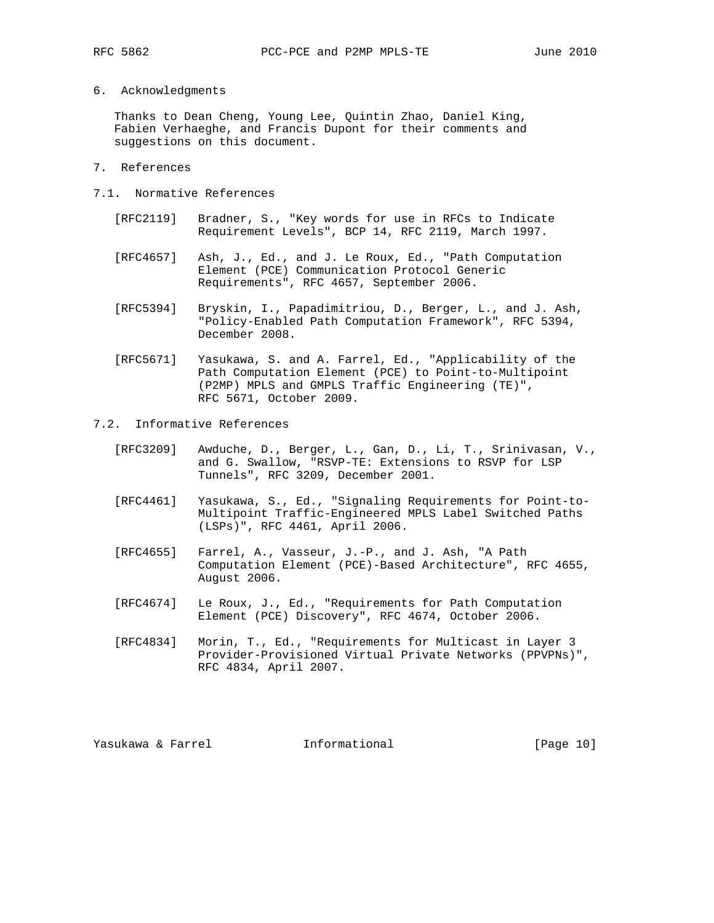Thanks to Dean Cheng, Young Lee, Quintin Zhao, Daniel King, Fabien Verhaeghe, and Francis Dupont for their comments and suggestions on this document.

- 7. References
- 7.1. Normative References
	- [RFC2119] Bradner, S., "Key words for use in RFCs to Indicate Requirement Levels", BCP 14, RFC 2119, March 1997.
	- [RFC4657] Ash, J., Ed., and J. Le Roux, Ed., "Path Computation Element (PCE) Communication Protocol Generic Requirements", RFC 4657, September 2006.
	- [RFC5394] Bryskin, I., Papadimitriou, D., Berger, L., and J. Ash, "Policy-Enabled Path Computation Framework", RFC 5394, December 2008.
	- [RFC5671] Yasukawa, S. and A. Farrel, Ed., "Applicability of the Path Computation Element (PCE) to Point-to-Multipoint (P2MP) MPLS and GMPLS Traffic Engineering (TE)", RFC 5671, October 2009.
- 7.2. Informative References
	- [RFC3209] Awduche, D., Berger, L., Gan, D., Li, T., Srinivasan, V., and G. Swallow, "RSVP-TE: Extensions to RSVP for LSP Tunnels", RFC 3209, December 2001.
	- [RFC4461] Yasukawa, S., Ed., "Signaling Requirements for Point-to- Multipoint Traffic-Engineered MPLS Label Switched Paths (LSPs)", RFC 4461, April 2006.
	- [RFC4655] Farrel, A., Vasseur, J.-P., and J. Ash, "A Path Computation Element (PCE)-Based Architecture", RFC 4655, August 2006.
	- [RFC4674] Le Roux, J., Ed., "Requirements for Path Computation Element (PCE) Discovery", RFC 4674, October 2006.
	- [RFC4834] Morin, T., Ed., "Requirements for Multicast in Layer 3 Provider-Provisioned Virtual Private Networks (PPVPNs)", RFC 4834, April 2007.

Yasukawa & Farrel **Informational** [Page 10]